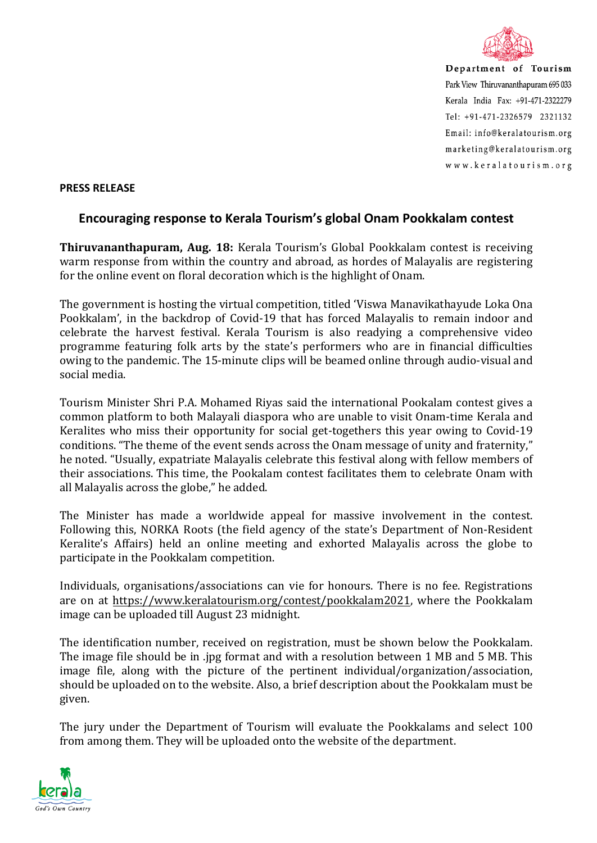

Department of Tourism Park View Thiruvananthapuram 695 033 Kerala India Fax: +91-471-2322279  $Tel: +91-471-2326579$  2321132 Email: info@keralatourism.org marketing@keralatourism.org www.keralatourism.org

## **PRESS RELEASE**

## **Encouraging response to Kerala Tourism's global Onam Pookkalam contest**

**Thiruvananthapuram, Aug. 18:** Kerala Tourism's Global Pookkalam contest is receiving warm response from within the country and abroad, as hordes of Malayalis are registering for the online event on floral decoration which is the highlight of Onam.

The government is hosting the virtual competition, titled 'Viswa Manavikathayude Loka Ona Pookkalam', in the backdrop of Covid-19 that has forced Malayalis to remain indoor and celebrate the harvest festival. Kerala Tourism is also readying a comprehensive video programme featuring folk arts by the state's performers who are in financial difficulties owing to the pandemic. The 15-minute clips will be beamed online through audio-visual and social media.

Tourism Minister Shri P.A. Mohamed Riyas said the international Pookalam contest gives a common platform to both Malayali diaspora who are unable to visit Onam-time Kerala and Keralites who miss their opportunity for social get-togethers this year owing to Covid-19 conditions. "The theme of the event sends across the Onam message of unity and fraternity," he noted. "Usually, expatriate Malayalis celebrate this festival along with fellow members of their associations. This time, the Pookalam contest facilitates them to celebrate Onam with all Malayalis across the globe," he added.

The Minister has made a worldwide appeal for massive involvement in the contest. Following this, NORKA Roots (the field agency of the state's Department of Non-Resident Keralite's Affairs) held an online meeting and exhorted Malayalis across the globe to participate in the Pookkalam competition.

Individuals, organisations/associations can vie for honours. There is no fee. Registrations are on at [https://www.keralatourism.org/contest/pookkalam2021,](https://www.keralatourism.org/contest/pookkalam2021) where the Pookkalam image can be uploaded till August 23 midnight.

The identification number, received on registration, must be shown below the Pookkalam. The image file should be in .jpg format and with a resolution between 1 MB and 5 MB. This image file, along with the picture of the pertinent individual/organization/association, should be uploaded on to the website. Also, a brief description about the Pookkalam must be given.

The jury under the Department of Tourism will evaluate the Pookkalams and select 100 from among them. They will be uploaded onto the website of the department.